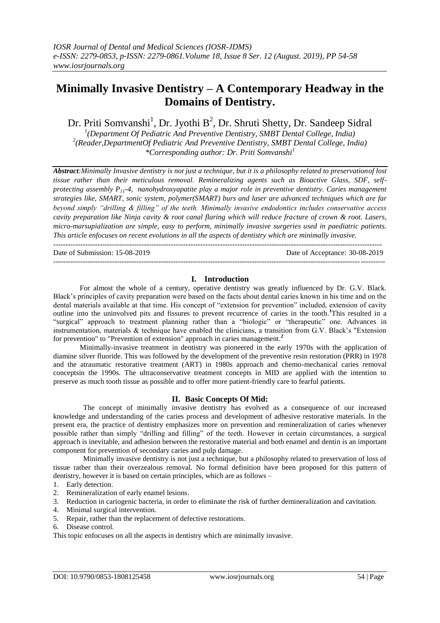# **Minimally Invasive Dentistry – A Contemporary Headway in the Domains of Dentistry.**

Dr. Priti Somvanshi<sup>1</sup>, Dr. Jyothi B<sup>2</sup>, Dr. Shruti Shetty, Dr. Sandeep Sidral <sup>1</sup>(Department Of Pediatric And Preventive Dentistry, SMBT Dental College, India) <sup>2</sup>(Reader,DepartmentOf Pediatric And Preventive Dentistry, SMBT Dental College, India) *\*Corresponding author: Dr. Priti Somvanshi<sup>1</sup>*

*Abstract:Minimally Invasive dentistry is not just a technique, but it is a philosophy related to preservationof lost tissue rather than their meticulous removal. Remineralizing agents such as Bioactive Glass, SDF, selfprotecting assembly P11-4, nanohydroxyapatite play a major role in preventive dentistry. Caries management strategies like, SMART, sonic system, polymer(SMART) burs and laser are advanced techniques which are far beyond simply "drilling & filling" of the teeth. Minimally invasive endodontics includes conservative access cavity preparation like Ninja cavity & root canal flaring which will reduce fracture of crown & root. Lasers, micro-marsupialization are simple, easy to perform, minimally invasive surgeries used in paediatric patients. This article enfocuses on recent evolutions in all the aspects of dentistry which are minimally invasive.*

Date of Submission: 15-08-2019 Date of Acceptance: 30-08-2019

---------------------------------------------------------------------------------------------------------------------------------------

### **I. Introduction**

--------------------------------------------------------------------------------------------------------------------------------------

For almost the whole of a century, operative dentistry was greatly influenced by Dr. G.V. Black. Black's principles of cavity preparation were based on the facts about dental caries known in his time and on the dental materials available at that time. His concept of "extension for prevention" included, extension of cavity outline into the uninvolved pits and fissures to prevent recurrence of caries in the tooth. **<sup>1</sup>**This resulted in a ―surgical‖ approach to treatment planning rather than a ―biologic‖ or ―therapeutic‖ one. Advances in instrumentation, materials & technique have enabled the clinicians, a transition from G.V. Black's "Extension for prevention" to "Prevention of extension" approach in caries management.**<sup>2</sup>**

Minimally-invasive treatment in dentistry was pioneered in the early 1970s with the application of diamine silver fluoride. This was followed by the development of the preventive resin restoration (PRR) in 1978 and the atraumatic restorative treatment (ART) in 1980s approach and chemo-mechanical caries removal conceptsin the 1990s. The ultraconservative treatment concepts in MID are applied with the intention to preserve as much tooth tissue as possible and to offer more patient-friendly care to fearful patients.

### **II. Basic Concepts Of Mid:**

The concept of minimally invasive dentistry has evolved as a consequence of our increased knowledge and understanding of the caries process and development of adhesive restorative materials. In the present era, the practice of dentistry emphasizes more on prevention and remineralization of caries whenever possible rather than simply "drilling and filling" of the teeth. However in certain circumstances, a surgical approach is inevitable, and adhesion between the restorative material and both enamel and dentin is an important component for prevention of secondary caries and pulp damage.

Minimally invasive dentistry is not just a technique, but a philosophy related to preservation of loss of tissue rather than their overzealous removal. No formal definition have been proposed for this pattern of dentistry, however it is based on certain principles, which are as follows –

- 1. Early detection.
- 2. Remineralization of early enamel lesions.
- 3. Reduction in cariogenic bacteria, in order to eliminate the risk of further demineralization and cavitation.
- 4. Minimal surgical intervention.
- 5. Repair, rather than the replacement of defective restorations.
- 6. Disease control.

This topic enfocuses on all the aspects in dentistry which are minimally invasive.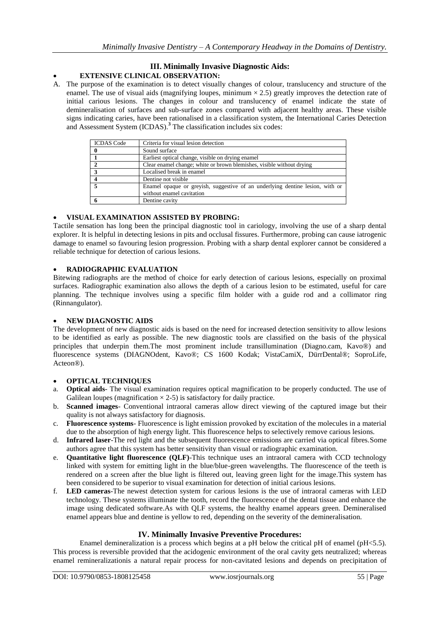### **III. Minimally Invasive Diagnostic Aids: EXTENSIVE CLINICAL OBSERVATION:**

A. The purpose of the examination is to detect visually changes of colour, translucency and structure of the enamel. The use of visual aids (magnifying loupes, minimum  $\times$  2.5) greatly improves the detection rate of initial carious lesions. The changes in colour and translucency of enamel indicate the state of demineralisation of surfaces and sub-surface zones compared with adjacent healthy areas. These visible signs indicating caries, have been rationalised in a classification system, the International Caries Detection and Assessment System (ICDAS).**<sup>3</sup>** The classification includes six codes:

| <b>ICDAS</b> Code | Criteria for visual lesion detection                                          |
|-------------------|-------------------------------------------------------------------------------|
|                   | Sound surface                                                                 |
|                   | Earliest optical change, visible on drying enamel                             |
|                   | Clear enamel change; white or brown blemishes, visible without drying         |
|                   | Localised break in enamel                                                     |
|                   | Dentine not visible                                                           |
|                   | Enamel opaque or greyish, suggestive of an underlying dentine lesion, with or |
|                   | without enamel cavitation                                                     |
|                   | Dentine cavity                                                                |

### **VISUAL EXAMINATION ASSISTED BY PROBING:**

Tactile sensation has long been the principal diagnostic tool in cariology, involving the use of a sharp dental explorer. It is helpful in detecting lesions in pits and occlusal fissures. Furthermore, probing can cause iatrogenic damage to enamel so favouring lesion progression. Probing with a sharp dental explorer cannot be considered a reliable technique for detection of carious lesions.

### **RADIOGRAPHIC EVALUATION**

Bitewing radiographs are the method of choice for early detection of carious lesions, especially on proximal surfaces. Radiographic examination also allows the depth of a carious lesion to be estimated, useful for care planning. The technique involves using a specific film holder with a guide rod and a collimator ring (Rinnangulator).

### **NEW DIAGNOSTIC AIDS**

The development of new diagnostic aids is based on the need for increased detection sensitivity to allow lesions to be identified as early as possible. The new diagnostic tools are classified on the basis of the physical principles that underpin them.The most prominent include transillumination (Diagno.cam, Kavo®) and fluorescence systems (DIAGNOdent, Kavo®; CS 1600 Kodak; VistaCamiX, DürrDental®; SoproLife, Acteon®).

## **OPTICAL TECHNIQUES**

- a. **Optical aids** The visual examination requires optical magnification to be properly conducted. The use of Galilean loupes (magnification  $\times$  2-5) is satisfactory for daily practice.
- b. **Scanned images** Conventional intraoral cameras allow direct viewing of the captured image but their quality is not always satisfactory for diagnosis.
- c. **Fluorescence systems** Fluorescence is light emission provoked by excitation of the molecules in a material due to the absorption of high energy light. This fluorescence helps to selectively remove carious lesions.
- d. **Infrared laser**-The red light and the subsequent fluorescence emissions are carried via optical fibres.Some authors agree that this system has better sensitivity than visual or radiographic examination.
- e. **Quantitative light fluorescence (QLF)**-This technique uses an intraoral camera with CCD technology linked with system for emitting light in the blue/blue-green wavelengths. The fluorescence of the teeth is rendered on a screen after the blue light is filtered out, leaving green light for the image.This system has been considered to be superior to visual examination for detection of initial carious lesions.
- f. **LED cameras**-The newest detection system for carious lesions is the use of intraoral cameras with LED technology. These systems illuminate the tooth, record the fluorescence of the dental tissue and enhance the image using dedicated software.As with QLF systems, the healthy enamel appears green. Demineralised enamel appears blue and dentine is yellow to red, depending on the severity of the demineralisation.

### **IV. Minimally Invasive Preventive Procedures:**

Enamel demineralization is a process which begins at a pH below the critical pH of enamel (pH<5.5). This process is reversible provided that the acidogenic environment of the oral cavity gets neutralized; whereas enamel remineralizationis a natural repair process for non-cavitated lesions and depends on precipitation of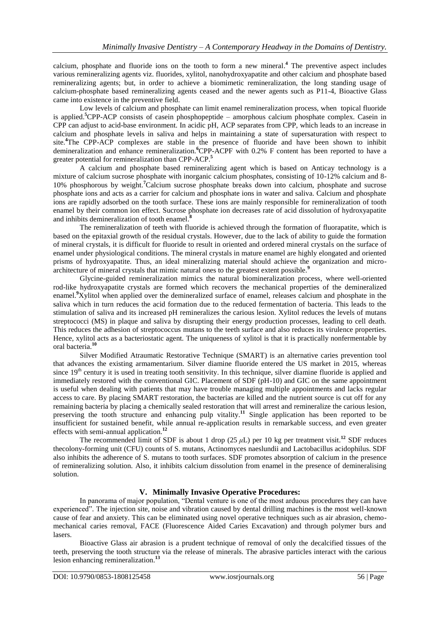calcium, phosphate and fluoride ions on the tooth to form a new mineral. **<sup>4</sup>** The preventive aspect includes various remineralizing agents viz. fluorides, xylitol, nanohydroxyapatite and other calcium and phosphate based remineralizing agents; but, in order to achieve a biomimetic remineralization, the long standing usage of calcium-phosphate based remineralizing agents ceased and the newer agents such as P11-4, Bioactive Glass came into existence in the preventive field.

Low levels of calcium and phosphate can limit enamel remineralization process, when topical fluoride is applied. **<sup>5</sup>**CPP-ACP consists of casein phosphopeptide – amorphous calcium phosphate complex. Casein in CPP can adjust to acid-base environment. In acidic pH, ACP separates from CPP, which leads to an increase in calcium and phosphate levels in saliva and helps in maintaining a state of supersaturation with respect to site. **<sup>4</sup>**The CPP-ACP complexes are stable in the presence of fluoride and have been shown to inhibit demineralization and enhance remineralization.**<sup>6</sup>**CPP-ACPF with 0.2% F content has been reported to have a greater potential for remineralization than CPP-ACP.**<sup>5</sup>**

A calcium and phosphate based remineralizing agent which is based on Anticay technology is a mixture of calcium sucrose phosphate with inorganic calcium phosphates, consisting of 10-12% calcium and 8- 10% phosphorous by weight.**<sup>7</sup>**Calcium sucrose phosphate breaks down into calcium, phosphate and sucrose phosphate ions and acts as a carrier for calcium and phosphate ions in water and saliva. Calcium and phosphate ions are rapidly adsorbed on the tooth surface. These ions are mainly responsible for remineralization of tooth enamel by their common ion effect. Sucrose phosphate ion decreases rate of acid dissolution of hydroxyapatite and inhibits demineralization of tooth enamel. **8**

The remineralization of teeth with fluoride is achieved through the formation of fluorapatite, which is based on the epitaxial growth of the residual crystals. However, due to the lack of ability to guide the formation of mineral crystals, it is difficult for fluoride to result in oriented and ordered mineral crystals on the surface of enamel under physiological conditions. The mineral crystals in mature enamel are highly elongated and oriented prisms of hydroxyapatite. Thus, an ideal mineralizing material should achieve the organization and microarchitecture of mineral crystals that mimic natural ones to the greatest extent possible.**<sup>9</sup>**

Glycine-guided remineralization mimics the natural biomineralization process, where well-oriented rod-like hydroxyapatite crystals are formed which recovers the mechanical properties of the demineralized enamel.**<sup>9</sup>**Xylitol when applied over the demineralized surface of enamel, releases calcium and phosphate in the saliva which in turn reduces the acid formation due to the reduced fermentation of bacteria. This leads to the stimulation of saliva and its increased pH remineralizes the carious lesion. Xylitol reduces the levels of mutans streptococci (MS) in plaque and saliva by disrupting their energy production processes, leading to cell death. This reduces the adhesion of streptococcus mutans to the teeth surface and also reduces its virulence properties. Hence, xylitol acts as a bacteriostatic agent. The uniqueness of xylitol is that it is practically nonfermentable by oral bacteria. **10**

Silver Modified Atraumatic Restorative Technique (SMART) is an alternative caries prevention tool that advances the existing armamentarium. Silver diamine fluoride entered the US market in 2015, whereas since  $19<sup>th</sup>$  century it is used in treating tooth sensitivity. In this technique, silver diamine fluoride is applied and immediately restored with the conventional GIC. Placement of SDF (pH-10) and GIC on the same appointment is useful when dealing with patients that may have trouble managing multiple appointments and lacks regular access to care. By placing SMART restoration, the bacterias are killed and the nutrient source is cut off for any remaining bacteria by placing a chemically sealed restoration that will arrest and remineralize the carious lesion, preserving the tooth structure and enhancing pulp vitality.<sup>11</sup> Single application has been reported to be insufficient for sustained benefit, while annual re-application results in remarkable success, and even greater effects with semi-annual application.**<sup>12</sup>**

The recommended limit of SDF is about 1 drop (25  $\mu$ L) per 10 kg per treatment visit.<sup>12</sup> SDF reduces thecolony-forming unit (CFU) counts of S. mutans, Actinomyces naeslundii and Lactobacillus acidophilus. SDF also inhibits the adherence of S. mutans to tooth surfaces. SDF promotes absorption of calcium in the presence of remineralizing solution. Also, it inhibits calcium dissolution from enamel in the presence of demineralising solution.

### **V. Minimally Invasive Operative Procedures:**

In panorama of major population, "Dental venture is one of the most arduous procedures they can have experienced". The injection site, noise and vibration caused by dental drilling machines is the most well-known cause of fear and anxiety. This can be eliminated using novel operative techniques such as air abrasion, chemomechanical caries removal, FACE (Fluorescence Aided Caries Excavation) and through polymer burs and lasers.

Bioactive Glass air abrasion is a prudent technique of removal of only the decalcified tissues of the teeth, preserving the tooth structure via the release of minerals. The abrasive particles interact with the carious lesion enhancing remineralization. **13**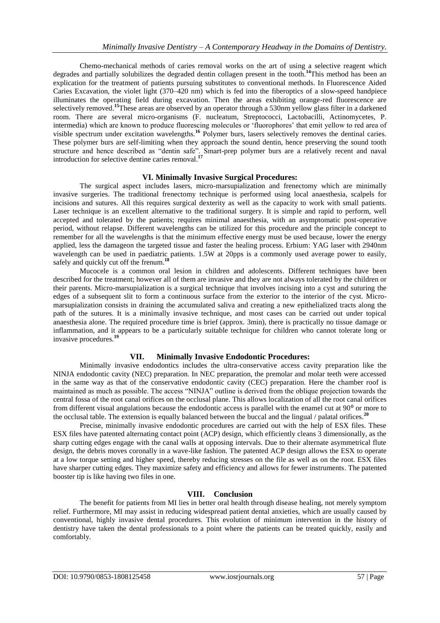Chemo-mechanical methods of caries removal works on the art of using a selective reagent which degrades and partially solubilizes the degraded dentin collagen present in the tooth. **<sup>14</sup>**This method has been an explication for the treatment of patients pursuing substitutes to conventional methods. In Fluorescence Aided Caries Excavation, the violet light (370–420 nm) which is fed into the fiberoptics of a slow-speed handpiece illuminates the operating field during excavation. Then the areas exhibiting orange-red fluorescence are selectively removed.<sup>15</sup>These areas are observed by an operator through a 530nm yellow glass filter in a darkened room. There are several micro-organisms (F. nucleatum, Streptococci, Lactobacilli, Actinomycetes, P. intermedia) which are known to produce fluorescing molecules or 'fluorophores' that emit yellow to red area of visible spectrum under excitation wavelengths.**<sup>16</sup>** Polymer burs, lasers selectively removes the dentinal caries. These polymer burs are self-limiting when they approach the sound dentin, hence preserving the sound tooth structure and hence described as "dentin safe". Smart-prep polymer burs are a relatively recent and naval introduction for selective dentine caries removal.**<sup>17</sup>**

### **VI. Minimally Invasive Surgical Procedures:**

The surgical aspect includes lasers, micro-marsupialization and frenectomy which are minimally invasive surgeries. The traditional frenectomy technique is performed using local anaesthesia, scalpels for incisions and sutures. All this requires surgical dexterity as well as the capacity to work with small patients. Laser technique is an excellent alternative to the traditional surgery. It is simple and rapid to perform, well accepted and tolerated by the patients; requires minimal anaesthesia, with an asymptomatic post-operative period, without relapse. Different wavelengths can be utilized for this procedure and the principle concept to remember for all the wavelengths is that the minimum effective energy must be used because, lower the energy applied, less the damageon the targeted tissue and faster the healing process. Erbium: YAG laser with 2940nm wavelength can be used in paediatric patients. 1.5W at 20pps is a commonly used average power to easily, safely and quickly cut off the frenum.**<sup>18</sup>**

Mucocele is a common oral lesion in children and adolescents. Different techniques have been described for the treatment; however all of them are invasive and they are not always tolerated by the children or their parents. Micro-marsupialization is a surgical technique that involves incising into a cyst and suturing the edges of a subsequent slit to form a continuous surface from the exterior to the interior of the cyst. Micromarsupialization consists in draining the accumulated saliva and creating a new epithelialized tracts along the path of the sutures. It is a minimally invasive technique, and most cases can be carried out under topical anaesthesia alone. The required procedure time is brief (approx. 3min), there is practically no tissue damage or inflammation, and it appears to be a particularly suitable technique for children who cannot tolerate long or invasive procedures.<sup>1</sup>

### **VII. Minimally Invasive Endodontic Procedures:**

Minimally invasive endodontics includes the ultra-conservative access cavity preparation like the NINJA endodontic cavity (NEC) preparation. In NEC preparation, the premolar and molar teeth were accessed in the same way as that of the conservative endodontic cavity (CEC) preparation. Here the chamber roof is maintained as much as possible. The access "NINJA" outline is derived from the oblique projection towards the central fossa of the root canal orifices on the occlusal plane. This allows localization of all the root canal orifices from different visual angulations because the endodontic access is parallel with the enamel cut at 90<sup>°</sup> or more to the occlusal table. The extension is equally balanced between the buccal and the lingual / palatal orifices.**<sup>20</sup>**

Precise, minimally invasive endodontic procedures are carried out with the help of ESX files. These ESX files have patented alternating contact point (ACP) design, which efficiently cleans 3 dimensionally, as the sharp cutting edges engage with the canal walls at opposing intervals. Due to their alternate asymmetrical flute design, the debris moves coronally in a wave-like fashion. The patented ACP design allows the ESX to operate at a low torque setting and higher speed, thereby reducing stresses on the file as well as on the root. ESX files have sharper cutting edges. They maximize safety and efficiency and allows for fewer instruments. The patented booster tip is like having two files in one.

### **VIII. Conclusion**

The benefit for patients from MI lies in better oral health through disease healing, not merely symptom relief. Furthermore, MI may assist in reducing widespread patient dental anxieties, which are usually caused by conventional, highly invasive dental procedures. This evolution of minimum intervention in the history of dentistry have taken the dental professionals to a point where the patients can be treated quickly, easily and comfortably.